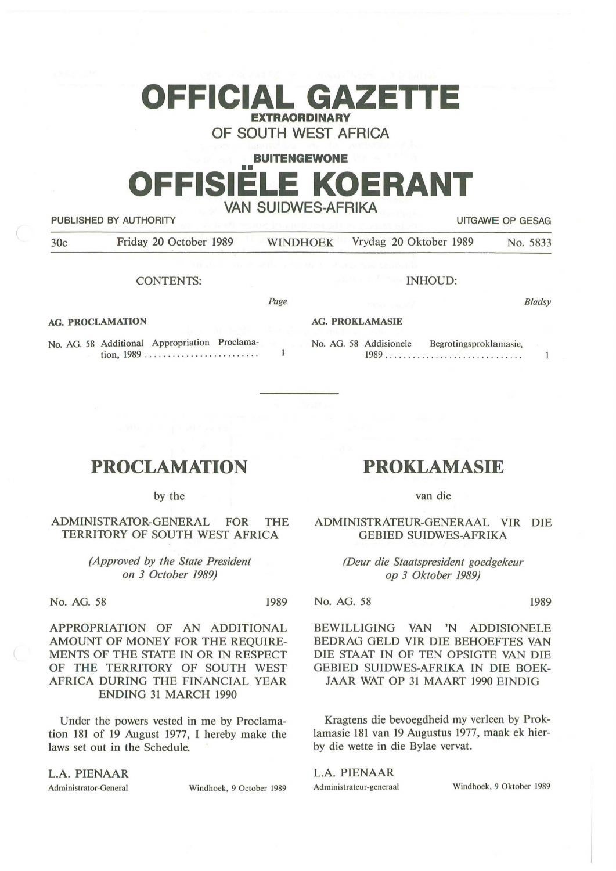# **OFFICIAL GAZETTE EXTRAORDINARY**

**OF SOUTH WEST AFRICA** 

# **BUITENGEWONE OFFISIËLE KOERANT VAN SUIDWES-AFRIKA**  PUBLISHED BY AUTHORITY **EXECUTE A SECURE 2018 THE SECURE 2019 THE SECURE 2019 THE SECURE 2019 THE SECURE 2019**

| 30c | Friday 20 October 1989 |  | WINDHOEK Vrydag 20 Oktober 1989 | No. 5833 |
|-----|------------------------|--|---------------------------------|----------|
|-----|------------------------|--|---------------------------------|----------|

CONTENTS:

INHOUD:

**AG. PROCLAMATION** 

*Page* 

**AG. PROKLAMASIE** 

Bladsy

 $\mathbf{1}$ 

No. AG. 58 Additional Appropriation Proclama-No. AG. 58 Addisionele Begrotingsproklamasie,  $\mathbf{1}$ 1989 ..... . ........ . . . ..... . .. . ... . tion, 1989 . . . . ... .. . ..... .. .... . .. .

# **PROCLAMATION**

by the

ADMINISTRA10R-GENERAL FOR THE TERRITORY OF SOUTH WEST AFRICA

> *(Approved by the State President on 3 October 1989)*

No. AG. 58 1989

APPROPRIATION OF AN ADDITIONAL AMOUNT OF MONEY FOR THE REQUIRE-MENTS OF THE STATE IN OR IN RESPECT OF THE TERRITORY OF SOUTH WEST AFRICA DURING THE FINANCIAL YEAR ENDING 31 MARCH 1990

Under the powers vested in me by Proclamation 181 of 19 August 1977, I hereby make the laws set out in the Schedule.

**L.A. PIENAAR** 

Administrator-General Windhoek, 9 October 1989

# **PROKLAMASIE**

van die

ADMINISTRATEUR-GENERAAL VIR DIE GEBIED SUIDWES-AFRIKA

> *(Deur die Staatspresident goedgekeur op 3 Oktober 1989)*

No. AG. 58 1989

BEWILLIGING VAN 'N ADDISIONELE BEDRAG GELD VIR DIE BEHOEFTES VAN DIE STAAT IN OF TEN OPSIGTE VAN DIE GEBIED SUIDWES-AFRIKA IN DIE BOEK-JAAR WAT OP 31 MAART 1990 EINDIG

Kragtens die bevoegdheid my verleen by Proklamasie 181 van 19 Augustus 1977, maak ek hierby die wette in die Bylae vervat.

L.A. **PIENAAR** 

Administrateur-generaal Windhoek, 9 Oktober 1989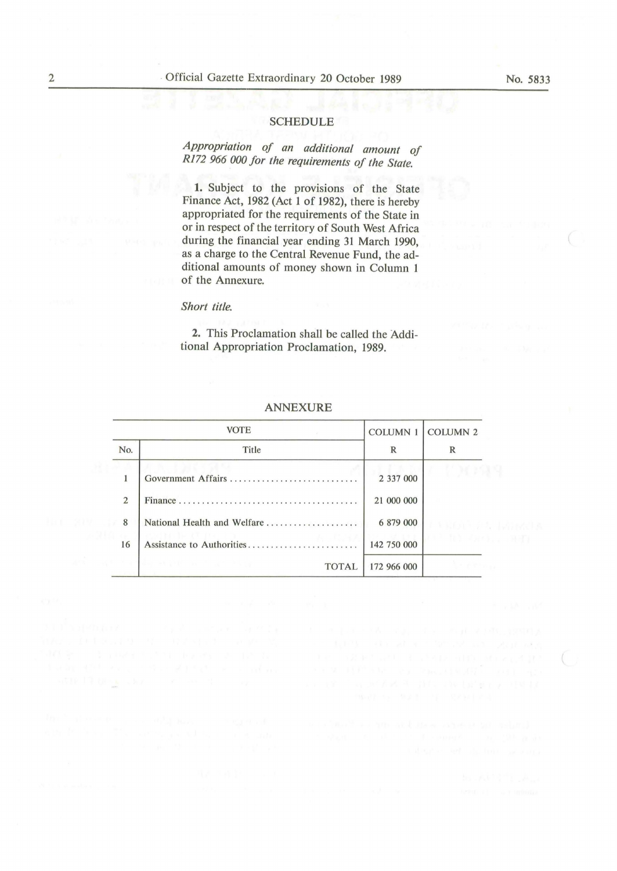## SCHEDULE

*Appropriation of an additional amount of Rl72 966 000 for the requirements of the State.* 

1. Subject to the provisions of the State Finance Act, 1982 (Act 1 of 1982), there is hereby appropriated for the requirements of the State in or in respect of the territory of South West Africa during the financial year ending 31 March 1990, as a charge to the Central Revenue Fund, the additional amounts of money shown in Column 1 of the Annexure.

### *Short title.*

2. This Proclamation shall be called the Additional Appropriation Proclamation, 1989.

| <b>VOTE</b>    |                                                    | COLUMN 1 COLUMN 2 |  |
|----------------|----------------------------------------------------|-------------------|--|
| No.            | Title                                              | R                 |  |
| $\mathbf{1}$   | Government Affairs                                 | 2 337 000         |  |
| $\overline{2}$ |                                                    | 21 000 000        |  |
| 8              | National Health and Welfare                        | 6 879 000         |  |
| 16             | Assistance to Authorities                          | 142 750 000       |  |
|                | THE R. P. LEWIS CO., LANSING MICH.<br><b>TOTAL</b> | 172 966 000       |  |

#### ANNEXURE